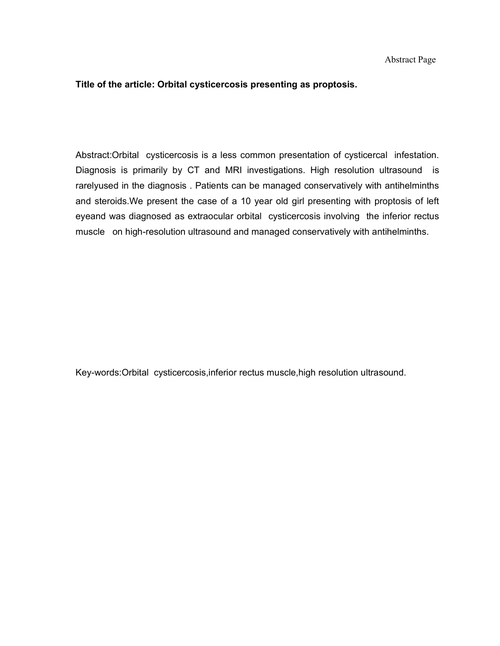## Title of the article: Orbital cysticercosis presenting as proptosis.

Abstract:Orbital cysticercosis is a less common presentation of cysticercal infestation. Diagnosis is primarily by CT and MRI investigations. High resolution ultrasound is rarelyused in the diagnosis . Patients can be managed conservatively with antihelminths and steroids.We present the case of a 10 year old girl presenting with proptosis of left eyeand was diagnosed as extraocular orbital cysticercosis involving the inferior rectus muscle on high-resolution ultrasound and managed conservatively with antihelminths.

Key-words:Orbital cysticercosis,inferior rectus muscle,high resolution ultrasound.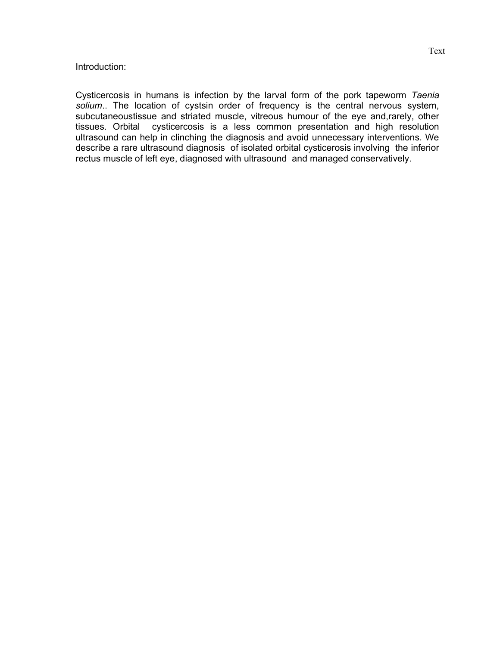## Introduction:

Cysticercosis in humans is infection by the larval form of the pork tapeworm Taenia solium.. The location of cystsin order of frequency is the central nervous system, subcutaneoustissue and striated muscle, vitreous humour of the eye and,rarely, other tissues. Orbital cysticercosis is a less common presentation and high resolution ultrasound can help in clinching the diagnosis and avoid unnecessary interventions. We describe a rare ultrasound diagnosis of isolated orbital cysticerosis involving the inferior rectus muscle of left eye, diagnosed with ultrasound and managed conservatively.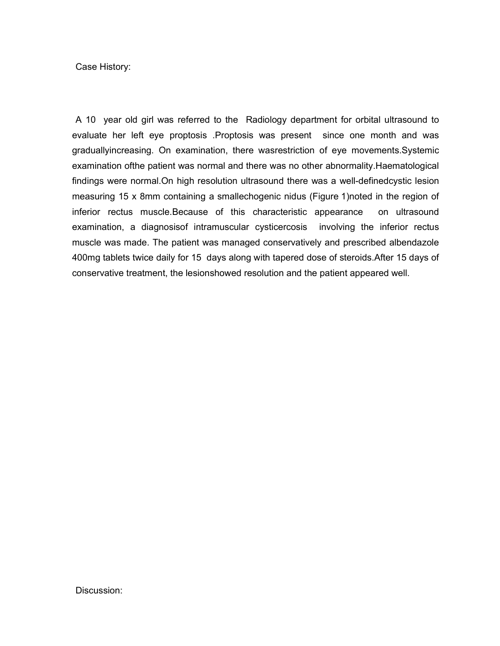Case History:

A 10 year old girl was referred to the Radiology department for orbital ultrasound to evaluate her left eye proptosis .Proptosis was present since one month and was graduallyincreasing. On examination, there wasrestriction of eye movements.Systemic examination ofthe patient was normal and there was no other abnormality.Haematological findings were normal.On high resolution ultrasound there was a well-definedcystic lesion measuring 15 x 8mm containing a smallechogenic nidus (Figure 1)noted in the region of inferior rectus muscle.Because of this characteristic appearance on ultrasound examination, a diagnosisof intramuscular cysticercosis involving the inferior rectus muscle was made. The patient was managed conservatively and prescribed albendazole 400mg tablets twice daily for 15 days along with tapered dose of steroids.After 15 days of conservative treatment, the lesionshowed resolution and the patient appeared well.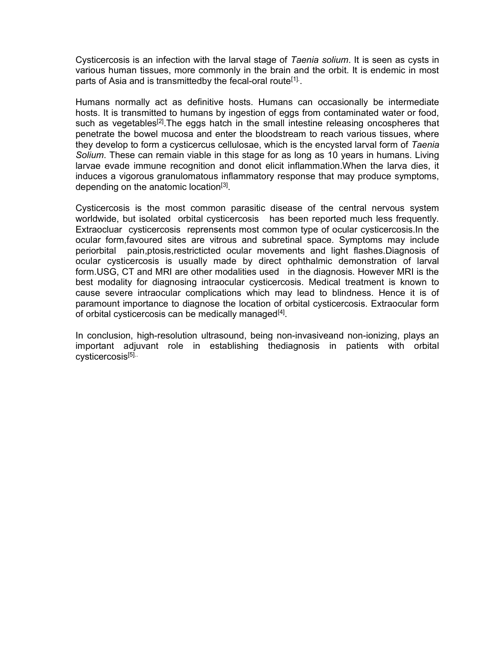Cysticercosis is an infection with the larval stage of Taenia solium. It is seen as cysts in various human tissues, more commonly in the brain and the orbit. It is endemic in most parts of Asia and is transmittedby the fecal-oral route<sup>[1].</sup>.

Humans normally act as definitive hosts. Humans can occasionally be intermediate hosts. It is transmitted to humans by ingestion of eggs from contaminated water or food, such as vegetables<sup>[2]</sup>. The eggs hatch in the small intestine releasing oncospheres that penetrate the bowel mucosa and enter the bloodstream to reach various tissues, where they develop to form a cysticercus cellulosae, which is the encysted larval form of Taenia Solium. These can remain viable in this stage for as long as 10 years in humans. Living larvae evade immune recognition and donot elicit inflammation.When the larva dies, it induces a vigorous granulomatous inflammatory response that may produce symptoms, depending on the anatomic location<sup>[3]</sup>.

Cysticercosis is the most common parasitic disease of the central nervous system worldwide, but isolated orbital cysticercosis has been reported much less frequently. Extraocluar cysticercosis reprensents most common type of ocular cysticercosis.In the ocular form,favoured sites are vitrous and subretinal space. Symptoms may include periorbital pain,ptosis,restricticted ocular movements and light flashes.Diagnosis of ocular cysticercosis is usually made by direct ophthalmic demonstration of larval form.USG, CT and MRI are other modalities used in the diagnosis. However MRI is the best modality for diagnosing intraocular cysticercosis. Medical treatment is known to cause severe intraocular complications which may lead to blindness. Hence it is of paramount importance to diagnose the location of orbital cysticercosis. Extraocular form of orbital cysticercosis can be medically managed<sup>[4]</sup>.

In conclusion, high-resolution ultrasound, being non-invasiveand non-ionizing, plays an important adjuvant role in establishing thediagnosis in patients with orbital cysticercosis[5]..